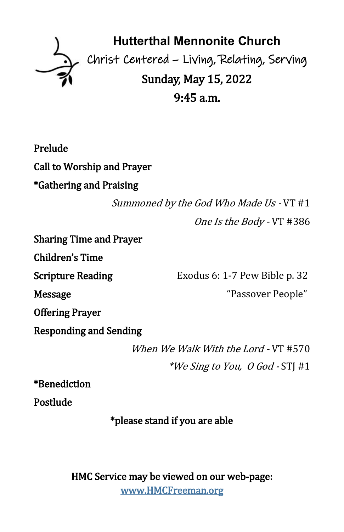

Prelude Call to Worship and Prayer \*Gathering and Praising

> Summoned by the God Who Made Us - VT #1 One Is the Body - VT #386

Sharing Time and Prayer

Children's Time

Scripture Reading Exodus 6: 1-7 Pew Bible p. 32 Message "Passover People"

Offering Prayer

Responding and Sending

When We Walk With the Lord - VT #570 \*We Sing to You,  $\theta$  God - STI #1

\*Benediction

Postlude

\*please stand if you are able

HMC Service may be viewed on our web-page: [www.HMCFreeman.org](http://www.HMCFreeman.org)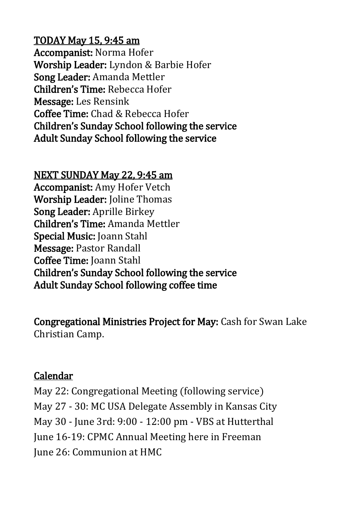### TODAY May 15, 9:45 am

Accompanist: Norma Hofer Worship Leader: Lyndon & Barbie Hofer Song Leader: Amanda Mettler Children's Time: Rebecca Hofer Message: Les Rensink Coffee Time: Chad & Rebecca Hofer Children's Sunday School following the service Adult Sunday School following the service

#### NEXT SUNDAY May 22, 9:45 am

Accompanist: Amy Hofer Vetch Worship Leader: Joline Thomas Song Leader: Aprille Birkey Children's Time: Amanda Mettler Special Music: Joann Stahl Message: Pastor Randall Coffee Time: Joann Stahl Children's Sunday School following the service Adult Sunday School following coffee time

Congregational Ministries Project for May: Cash for Swan Lake Christian Camp.

#### Calendar

May 22: Congregational Meeting (following service) May 27 - 30: MC USA Delegate Assembly in Kansas City May 30 - June 3rd: 9:00 - 12:00 pm - VBS at Hutterthal June 16-19: CPMC Annual Meeting here in Freeman June 26: Communion at HMC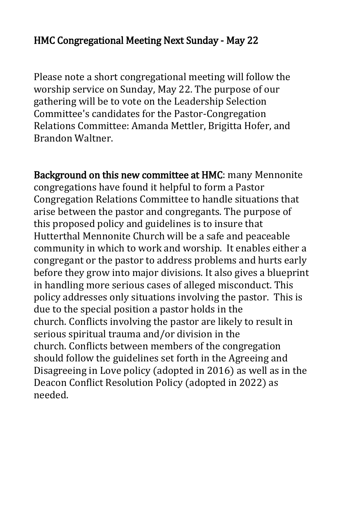## HMC Congregational Meeting Next Sunday - May 22

Please note a short congregational meeting will follow the worship service on Sunday, May 22. The purpose of our gathering will be to vote on the Leadership Selection Committee's candidates for the Pastor-Congregation Relations Committee: Amanda Mettler, Brigitta Hofer, and Brandon Waltner.

Background on this new committee at HMC: many Mennonite congregations have found it helpful to form a Pastor Congregation Relations Committee to handle situations that arise between the pastor and congregants. The purpose of this proposed policy and guidelines is to insure that Hutterthal Mennonite Church will be a safe and peaceable community in which to work and worship. It enables either a congregant or the pastor to address problems and hurts early before they grow into major divisions. It also gives a blueprint in handling more serious cases of alleged misconduct. This policy addresses only situations involving the pastor. This is due to the special position a pastor holds in the church. Conflicts involving the pastor are likely to result in serious spiritual trauma and/or division in the church. Conflicts between members of the congregation should follow the guidelines set forth in the Agreeing and Disagreeing in Love policy (adopted in 2016) as well as in the Deacon Conflict Resolution Policy (adopted in 2022) as needed.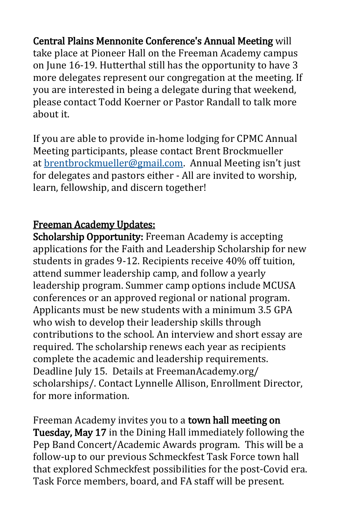Central Plains Mennonite Conference's Annual Meeting will take place at Pioneer Hall on the Freeman Academy campus on June 16-19. Hutterthal still has the opportunity to have 3 more delegates represent our congregation at the meeting. If you are interested in being a delegate during that weekend, please contact Todd Koerner or Pastor Randall to talk more about it.

If you are able to provide in-home lodging for CPMC Annual Meeting participants, please contact Brent Brockmueller at [brentbrockmueller@gmail.com.](mailto:brentbrockmueller@gmail.com) Annual Meeting isn't just for delegates and pastors either - All are invited to worship, learn, fellowship, and discern together!

# Freeman Academy Updates:

Scholarship Opportunity: Freeman Academy is accepting applications for the Faith and Leadership Scholarship for new students in grades 9-12. Recipients receive 40% off tuition, attend summer leadership camp, and follow a yearly leadership program. Summer camp options include MCUSA conferences or an approved regional or national program. Applicants must be new students with a minimum 3.5 GPA who wish to develop their leadership skills through contributions to the school. An interview and short essay are required. The scholarship renews each year as recipients complete the academic and leadership requirements. Deadline July 15. Details at FreemanAcademy.org/ scholarships/. Contact Lynnelle Allison, Enrollment Director, for more information.

Freeman Academy invites you to a town hall meeting on Tuesday, May 17 in the Dining Hall immediately following the Pep Band Concert/Academic Awards program. This will be a follow-up to our previous Schmeckfest Task Force town hall that explored Schmeckfest possibilities for the post-Covid era. Task Force members, board, and FA staff will be present.